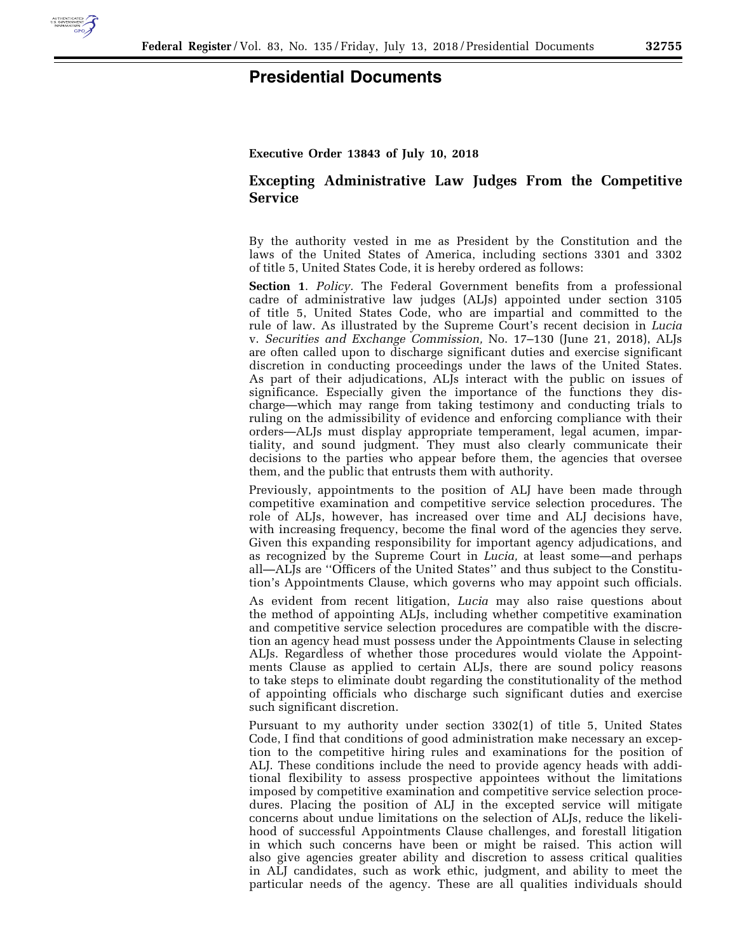

## **Presidential Documents**

## **Executive Order 13843 of July 10, 2018**

## **Excepting Administrative Law Judges From the Competitive Service**

By the authority vested in me as President by the Constitution and the laws of the United States of America, including sections 3301 and 3302 of title 5, United States Code, it is hereby ordered as follows:

**Section 1**. *Policy.* The Federal Government benefits from a professional cadre of administrative law judges (ALJs) appointed under section 3105 of title 5, United States Code, who are impartial and committed to the rule of law. As illustrated by the Supreme Court's recent decision in *Lucia*  v. *Securities and Exchange Commission,* No. 17–130 (June 21, 2018), ALJs are often called upon to discharge significant duties and exercise significant discretion in conducting proceedings under the laws of the United States. As part of their adjudications, ALJs interact with the public on issues of significance. Especially given the importance of the functions they discharge—which may range from taking testimony and conducting trials to ruling on the admissibility of evidence and enforcing compliance with their orders—ALJs must display appropriate temperament, legal acumen, impartiality, and sound judgment. They must also clearly communicate their decisions to the parties who appear before them, the agencies that oversee them, and the public that entrusts them with authority.

Previously, appointments to the position of ALJ have been made through competitive examination and competitive service selection procedures. The role of ALJs, however, has increased over time and ALJ decisions have, with increasing frequency, become the final word of the agencies they serve. Given this expanding responsibility for important agency adjudications, and as recognized by the Supreme Court in *Lucia,* at least some—and perhaps all—ALJs are ''Officers of the United States'' and thus subject to the Constitution's Appointments Clause, which governs who may appoint such officials.

As evident from recent litigation, *Lucia* may also raise questions about the method of appointing ALJs, including whether competitive examination and competitive service selection procedures are compatible with the discretion an agency head must possess under the Appointments Clause in selecting ALJs. Regardless of whether those procedures would violate the Appointments Clause as applied to certain ALJs, there are sound policy reasons to take steps to eliminate doubt regarding the constitutionality of the method of appointing officials who discharge such significant duties and exercise such significant discretion.

Pursuant to my authority under section 3302(1) of title 5, United States Code, I find that conditions of good administration make necessary an exception to the competitive hiring rules and examinations for the position of ALJ. These conditions include the need to provide agency heads with additional flexibility to assess prospective appointees without the limitations imposed by competitive examination and competitive service selection procedures. Placing the position of ALJ in the excepted service will mitigate concerns about undue limitations on the selection of ALJs, reduce the likelihood of successful Appointments Clause challenges, and forestall litigation in which such concerns have been or might be raised. This action will also give agencies greater ability and discretion to assess critical qualities in ALJ candidates, such as work ethic, judgment, and ability to meet the particular needs of the agency. These are all qualities individuals should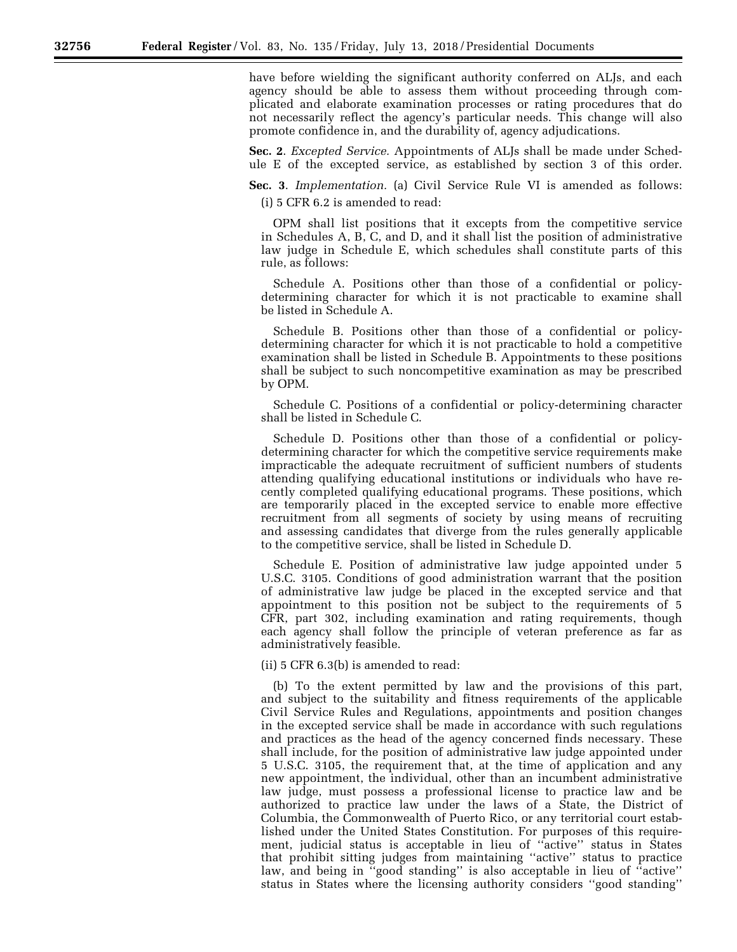have before wielding the significant authority conferred on ALJs, and each agency should be able to assess them without proceeding through complicated and elaborate examination processes or rating procedures that do not necessarily reflect the agency's particular needs. This change will also promote confidence in, and the durability of, agency adjudications.

**Sec. 2**. *Excepted Service.* Appointments of ALJs shall be made under Schedule E of the excepted service, as established by section 3 of this order.

**Sec. 3**. *Implementation.* (a) Civil Service Rule VI is amended as follows: (i) 5 CFR 6.2 is amended to read:

OPM shall list positions that it excepts from the competitive service in Schedules A, B, C, and D, and it shall list the position of administrative law judge in Schedule E, which schedules shall constitute parts of this rule, as follows:

Schedule A. Positions other than those of a confidential or policydetermining character for which it is not practicable to examine shall be listed in Schedule A.

Schedule B. Positions other than those of a confidential or policydetermining character for which it is not practicable to hold a competitive examination shall be listed in Schedule B. Appointments to these positions shall be subject to such noncompetitive examination as may be prescribed by OPM.

Schedule C. Positions of a confidential or policy-determining character shall be listed in Schedule C.

Schedule D. Positions other than those of a confidential or policydetermining character for which the competitive service requirements make impracticable the adequate recruitment of sufficient numbers of students attending qualifying educational institutions or individuals who have recently completed qualifying educational programs. These positions, which are temporarily placed in the excepted service to enable more effective recruitment from all segments of society by using means of recruiting and assessing candidates that diverge from the rules generally applicable to the competitive service, shall be listed in Schedule D.

Schedule E. Position of administrative law judge appointed under 5 U.S.C. 3105. Conditions of good administration warrant that the position of administrative law judge be placed in the excepted service and that appointment to this position not be subject to the requirements of 5 CFR, part 302, including examination and rating requirements, though each agency shall follow the principle of veteran preference as far as administratively feasible.

(ii) 5 CFR 6.3(b) is amended to read:

(b) To the extent permitted by law and the provisions of this part, and subject to the suitability and fitness requirements of the applicable Civil Service Rules and Regulations, appointments and position changes in the excepted service shall be made in accordance with such regulations and practices as the head of the agency concerned finds necessary. These shall include, for the position of administrative law judge appointed under 5 U.S.C. 3105, the requirement that, at the time of application and any new appointment, the individual, other than an incumbent administrative law judge, must possess a professional license to practice law and be authorized to practice law under the laws of a State, the District of Columbia, the Commonwealth of Puerto Rico, or any territorial court established under the United States Constitution. For purposes of this requirement, judicial status is acceptable in lieu of ''active'' status in States that prohibit sitting judges from maintaining ''active'' status to practice law, and being in "good standing" is also acceptable in lieu of "active" status in States where the licensing authority considers ''good standing''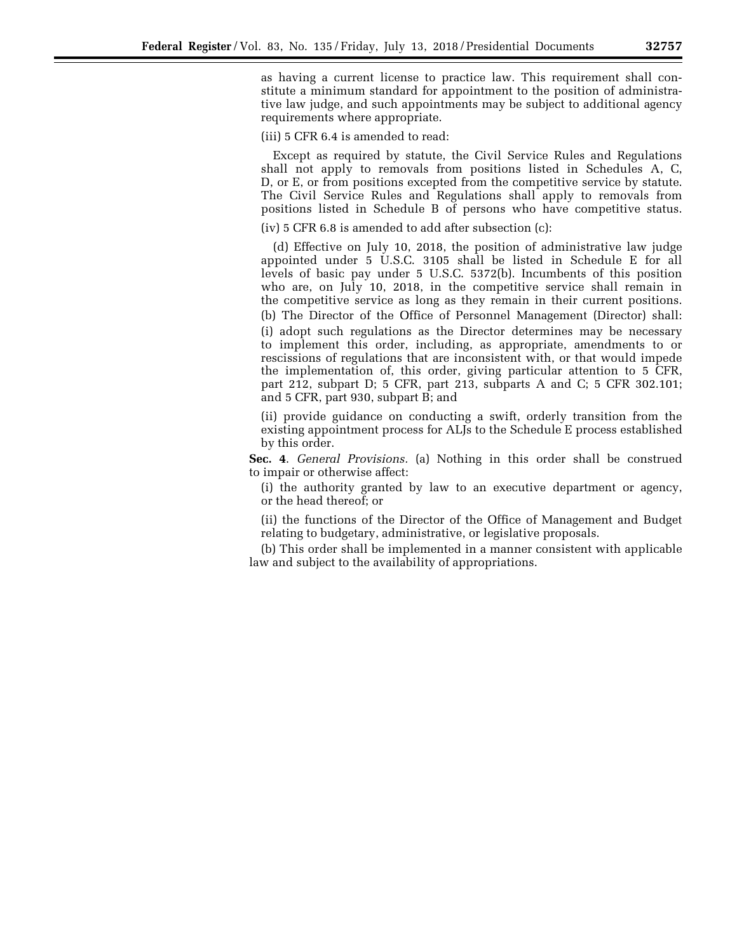as having a current license to practice law. This requirement shall constitute a minimum standard for appointment to the position of administrative law judge, and such appointments may be subject to additional agency requirements where appropriate.

(iii) 5 CFR 6.4 is amended to read:

Except as required by statute, the Civil Service Rules and Regulations shall not apply to removals from positions listed in Schedules A, C, D, or E, or from positions excepted from the competitive service by statute. The Civil Service Rules and Regulations shall apply to removals from positions listed in Schedule B of persons who have competitive status.

(iv) 5 CFR 6.8 is amended to add after subsection (c):

(d) Effective on July 10, 2018, the position of administrative law judge appointed under 5 U.S.C. 3105 shall be listed in Schedule E for all levels of basic pay under 5 U.S.C. 5372(b). Incumbents of this position who are, on July 10, 2018, in the competitive service shall remain in the competitive service as long as they remain in their current positions. (b) The Director of the Office of Personnel Management (Director) shall: (i) adopt such regulations as the Director determines may be necessary to implement this order, including, as appropriate, amendments to or rescissions of regulations that are inconsistent with, or that would impede the implementation of, this order, giving particular attention to 5 CFR, part 212, subpart D; 5 CFR, part 213, subparts A and C; 5 CFR 302.101; and 5 CFR, part 930, subpart B; and

(ii) provide guidance on conducting a swift, orderly transition from the existing appointment process for ALJs to the Schedule E process established by this order.

**Sec. 4**. *General Provisions.* (a) Nothing in this order shall be construed to impair or otherwise affect:

(i) the authority granted by law to an executive department or agency, or the head thereof; or

(ii) the functions of the Director of the Office of Management and Budget relating to budgetary, administrative, or legislative proposals.

(b) This order shall be implemented in a manner consistent with applicable law and subject to the availability of appropriations.